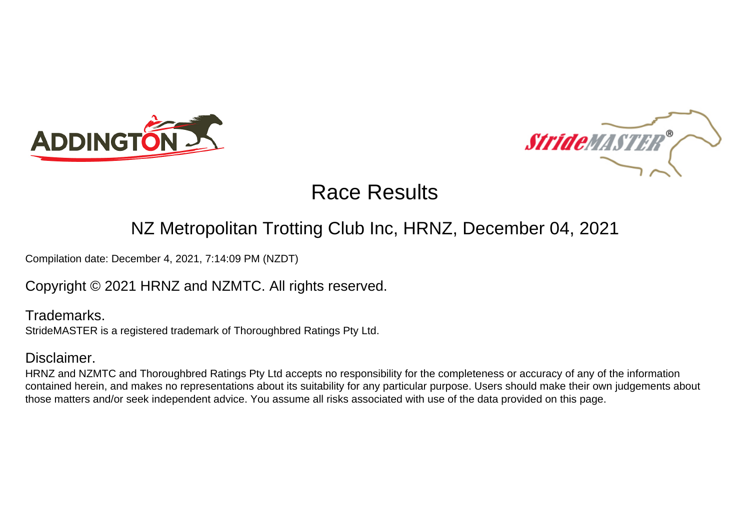



### NZ Metropolitan Trotting Club Inc, HRNZ, December 04, 2021

Compilation date: December 4, 2021, 7:14:09 PM (NZDT)

Copyright © 2021 HRNZ and NZMTC. All rights reserved.

Trademarks. StrideMASTER is a registered trademark of Thoroughbred Ratings Pty Ltd.

### Disclaimer.

HRNZ and NZMTC and Thoroughbred Ratings Pty Ltd accepts no responsibility for the completeness or accuracy of any of the information contained herein, and makes no representations about its suitability for any particular purpose. Users should make their own judgements about those matters and/or seek independent advice. You assume all risks associated with use of the data provided on this page.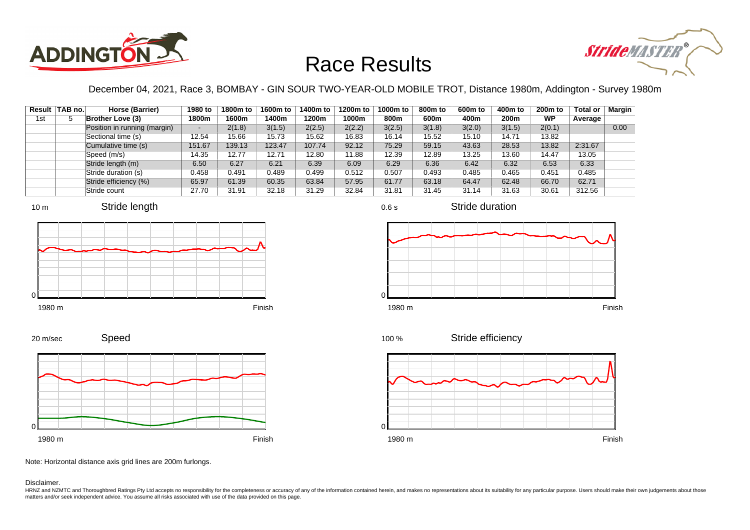



December 04, 2021, Race 3, BOMBAY - GIN SOUR TWO-YEAR-OLD MOBILE TROT, Distance 1980m, Addington - Survey 1980m

|     | Result TAB no. | Horse (Barrier)              | 1980 to | 1800m to | 1600m to | 1400m to | 1200m to | 1000m to | 800m to | 600 <sub>m</sub> to | 400m to | 200 <sub>m</sub> to | <b>Total or</b> | Margin |
|-----|----------------|------------------------------|---------|----------|----------|----------|----------|----------|---------|---------------------|---------|---------------------|-----------------|--------|
| 1st |                | <b>Brother Love (3)</b>      | 1800m   | 1600m    | 1400m    | 1200m    | 1000m    | 800m     | 600m    | 400m                | 200m    | WP                  | Average         |        |
|     |                | Position in running (margin) |         | 2(1.8)   | 3(1.5)   | 2(2.5)   | 2(2.2)   | 3(2.5)   | 3(1.8)  | 3(2.0)              | 3(1.5)  | 2(0.1)              |                 | 0.00   |
|     |                | Sectional time (s)           | 12.54   | 15.66    | 15.73    | 15.62    | 16.83    | 16.14    | 15.52   | 15.10               | 14.71   | 13.82               |                 |        |
|     |                | Cumulative time (s)          | 151.67  | 139.13   | 123.47   | 107.74   | 92.12    | 75.29    | 59.15   | 43.63               | 28.53   | 13.82               | 2:31.67         |        |
|     |                | Speed (m/s)                  | 14.35   | 12.77    | 12.71    | 12.80    | 11.88    | 12.39    | 12.89   | 13.25               | 13.60   | 14.47               | 13.05           |        |
|     |                | Stride length (m)            | 6.50    | 6.27     | 6.21     | 6.39     | 6.09     | 6.29     | 6.36    | 6.42                | 6.32    | 6.53                | 6.33            |        |
|     |                | Stride duration (s)          | 0.458   | 0.491    | 0.489    | 0.499    | 0.512    | 0.507    | 0.493   | 0.485               | 0.465   | 0.451               | 0.485           |        |
|     |                | Stride efficiency (%)        | 65.97   | 61.39    | 60.35    | 63.84    | 57.95    | 61.77    | 63.18   | 64.47               | 62.48   | 66.70               | 62.71           |        |
|     |                | Stride count                 | 27.70   | 31.91    | 32.18    | 31.29    | 32.84    | 31.81    | 31.45   | 31.14               | 31.63   | 30.61               | 312.56          |        |









Stride duration





Speed 20 m/sec



Note: Horizontal distance axis grid lines are 200m furlongs.

Disclaimer.

HRNZ and NZMTC and Thoroughbred Ratings Pty Ltd accepts no responsibility for the completeness or accuracy of any of the information contained herein, and makes no representations about its suitability for any particular p matters and/or seek independent advice. You assume all risks associated with use of the data provided on this page.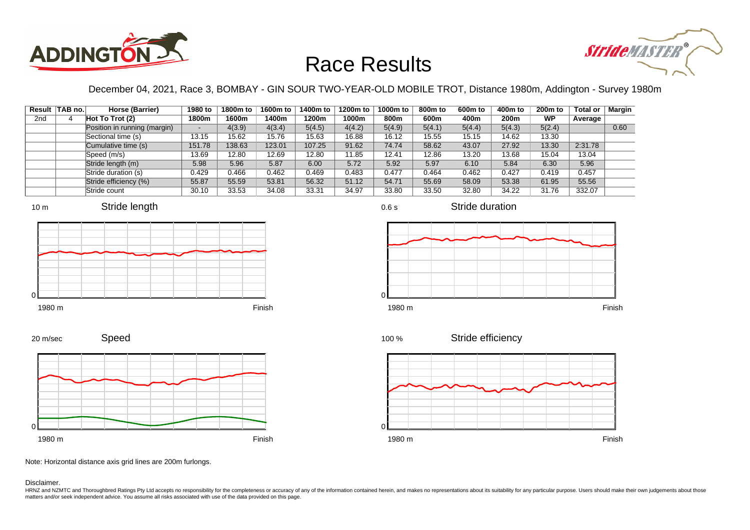



December 04, 2021, Race 3, BOMBAY - GIN SOUR TWO-YEAR-OLD MOBILE TROT, Distance 1980m, Addington - Survey 1980m

|                 | Result TAB no. | Horse (Barrier)              | 1980 to                  | 1800m to | 1600m to | 1400m to | 1200m to | 1000m to | 800m to | 600 <sub>m</sub> to | 400m to | 200 <sub>m</sub> to | <b>Total or</b> | Margin |
|-----------------|----------------|------------------------------|--------------------------|----------|----------|----------|----------|----------|---------|---------------------|---------|---------------------|-----------------|--------|
| 2 <sub>nd</sub> |                | Hot To Trot $(2)$            | 1800m                    | 1600m    | 1400m    | 1200m    | 1000m    | 800m     | 600m    | 400m                | 200m    | WP                  | Average         |        |
|                 |                | Position in running (margin) | $\overline{\phantom{a}}$ | 4(3.9)   | 4(3.4)   | 5(4.5)   | 4(4.2)   | 5(4.9)   | 5(4.1)  | 5(4.4)              | 5(4.3)  | 5(2.4)              |                 | 0.60   |
|                 |                | Sectional time (s)           | 13.15                    | 15.62    | 15.76    | 15.63    | 16.88    | 16.12    | 15.55   | 15.15               | 14.62   | 13.30               |                 |        |
|                 |                | Cumulative time (s)          | 151.78                   | 138.63   | 123.01   | 107.25   | 91.62    | 74.74    | 58.62   | 43.07               | 27.92   | 13.30               | 2:31.78         |        |
|                 |                | Speed (m/s)                  | 13.69                    | 12.80    | 12.69    | 12.80    | 11.85    | 12.41    | 12.86   | 13.20               | 13.68   | 15.04               | 13.04           |        |
|                 |                | Stride length (m)            | 5.98                     | 5.96     | 5.87     | 6.00     | 5.72     | 5.92     | 5.97    | 6.10                | 5.84    | 6.30                | 5.96            |        |
|                 |                | Stride duration (s)          | 0.429                    | 0.466    | 0.462    | 0.469    | 0.483    | 0.477    | 0.464   | 0.462               | 0.427   | 0.419               | 0.457           |        |
|                 |                | Stride efficiency (%)        | 55.87                    | 55.59    | 53.81    | 56.32    | 51.12    | 54.71    | 55.69   | 58.09               | 53.38   | 61.95               | 55.56           |        |
|                 |                | Stride count                 | 30.10                    | 33.53    | 34.08    | 33.31    | 34.97    | 33.80    | 33.50   | 32.80               | 34.22   | 31.76               | 332.07          |        |







20 m/sec





Stride efficiency 100 %



Note: Horizontal distance axis grid lines are 200m furlongs.

Disclaimer.

HRNZ and NZMTC and Thoroughbred Ratings Pty Ltd accepts no responsibility for the completeness or accuracy of any of the information contained herein, and makes no representations about its suitability for any particular p matters and/or seek independent advice. You assume all risks associated with use of the data provided on this page.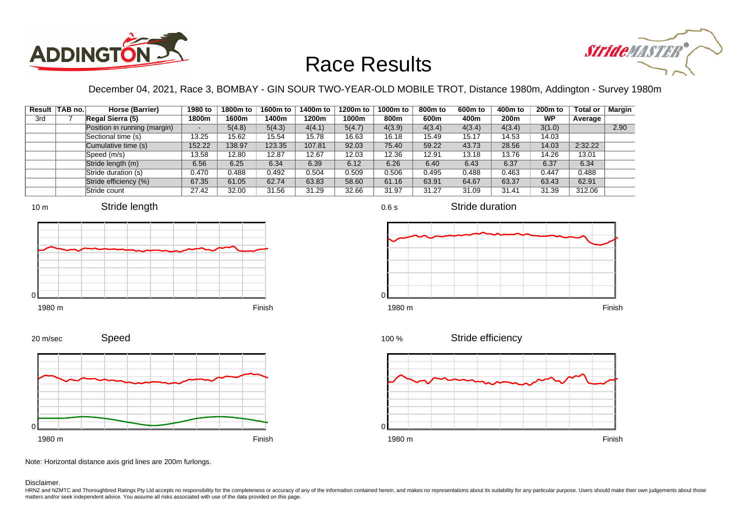



December 04, 2021, Race 3, BOMBAY - GIN SOUR TWO-YEAR-OLD MOBILE TROT, Distance 1980m, Addington - Survey 1980m

|     | Result TAB no. | Horse (Barrier)              | 1980 to | 1800m to | 1600m to | 1400m to | 1200m to | 1000m to | 800m to | 600 <sub>m</sub> to | 400m to | 200 <sub>m</sub> to | <b>Total or</b> | Margin |
|-----|----------------|------------------------------|---------|----------|----------|----------|----------|----------|---------|---------------------|---------|---------------------|-----------------|--------|
| 3rd |                | Regal Sierra (5)             | 1800m   | 1600m    | 1400m    | 1200m    | 1000m    | 800m     | 600m    | 400m                | 200m    | WP                  | Average         |        |
|     |                | Position in running (margin) |         | 5(4.8)   | 5(4.3)   | 4(4.1)   | 5(4.7)   | 4(3.9)   | 4(3.4)  | 4(3.4)              | 4(3.4)  | 3(1.0)              |                 | 2.90   |
|     |                | Sectional time (s)           | 13.25   | 15.62    | 15.54    | 15.78    | 16.63    | 16.18    | 15.49   | 15.17               | 14.53   | 14.03               |                 |        |
|     |                | Cumulative time (s)          | 152.22  | 138.97   | 123.35   | 107.81   | 92.03    | 75.40    | 59.22   | 43.73               | 28.56   | 14.03               | 2:32.22         |        |
|     |                | Speed (m/s)                  | 13.58   | 12.80    | 12.87    | 12.67    | 12.03    | 12.36    | 12.91   | 13.18               | 13.76   | 14.26               | 13.01           |        |
|     |                | Stride length (m)            | 6.56    | 6.25     | 6.34     | 6.39     | 6.12     | 6.26     | 6.40    | 6.43                | 6.37    | 6.37                | 6.34            |        |
|     |                | Stride duration (s)          | 0.470   | 0.488    | 0.492    | 0.504    | 0.509    | 0.506    | 0.495   | 0.488               | 0.463   | 0.447               | 0.488           |        |
|     |                | Stride efficiency (%)        | 67.35   | 61.05    | 62.74    | 63.83    | 58.60    | 61.16    | 63.91   | 64.67               | 63.37   | 63.43               | 62.91           |        |
|     |                | Stride count                 | 27.42   | 32.00    | 31.56    | 31.29    | 32.66    | 31.97    | 31.27   | 31.09               | 31.41   | 31.39               | 312.06          |        |















Note: Horizontal distance axis grid lines are 200m furlongs.

#### Disclaimer.

HRNZ and NZMTC and Thoroughbred Ratings Pty Ltd accepts no responsibility for the completeness or accuracy of any of the information contained herein, and makes no representations about its suitability for any particular p matters and/or seek independent advice. You assume all risks associated with use of the data provided on this page.

0.6 s

Stride duration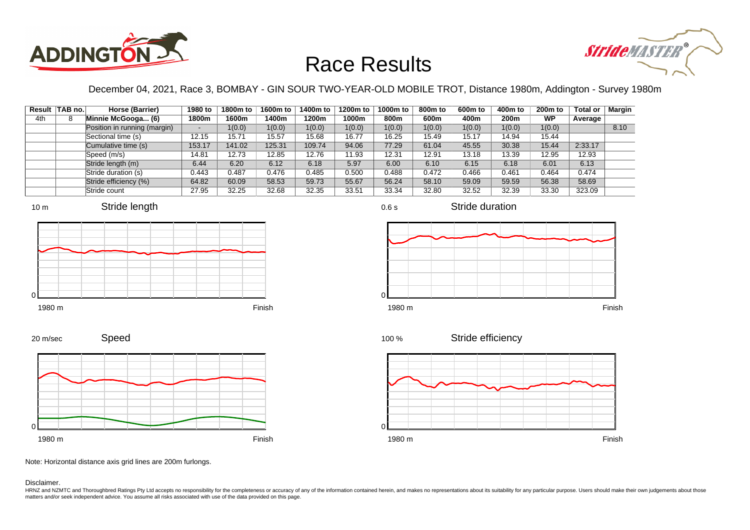



December 04, 2021, Race 3, BOMBAY - GIN SOUR TWO-YEAR-OLD MOBILE TROT, Distance 1980m, Addington - Survey 1980m

|     | Result TAB no. | Horse (Barrier)              | 1980 to | 1800m to | 1600m to | 1400m to | 1200m to | 1000m to | 800m to | 600 <sub>m</sub> to | 400m to | 200 <sub>m</sub> to | <b>Total or</b> | Margin |
|-----|----------------|------------------------------|---------|----------|----------|----------|----------|----------|---------|---------------------|---------|---------------------|-----------------|--------|
| 4th |                | Minnie McGooga (6)           | 1800m   | 1600m    | 1400m    | 1200m    | 1000m    | 800m     | 600m    | 400m                | 200m    | WP                  | Average         |        |
|     |                | Position in running (margin) |         | 1(0.0)   | 1(0.0)   | 1(0.0)   | 1(0.0)   | 1(0.0)   | 1(0.0)  | 1(0.0)              | 1(0.0)  | 1(0.0)              |                 | 8.10   |
|     |                | Sectional time (s)           | 12.15   | 15.71    | 15.57    | 15.68    | 16.77    | 16.25    | 15.49   | 15.17               | 14.94   | 15.44               |                 |        |
|     |                | Cumulative time (s)          | 153.17  | 141.02   | 125.31   | 109.74   | 94.06    | 77.29    | 61.04   | 45.55               | 30.38   | 15.44               | 2:33.17         |        |
|     |                | Speed (m/s)                  | 14.81   | 12.73    | 12.85    | 12.76    | 11.93    | 12.31    | 12.91   | 13.18               | 13.39   | 12.95               | 12.93           |        |
|     |                | Stride length (m)            | 6.44    | 6.20     | 6.12     | 6.18     | 5.97     | 6.00     | 6.10    | 6.15                | 6.18    | 6.01                | 6.13            |        |
|     |                | Stride duration (s)          | 0.443   | 0.487    | 0.476    | 0.485    | 0.500    | 0.488    | 0.472   | 0.466               | 0.461   | 0.464               | 0.474           |        |
|     |                | Stride efficiency (%)        | 64.82   | 60.09    | 58.53    | 59.73    | 55.67    | 56.24    | 58.10   | 59.09               | 59.59   | 56.38               | 58.69           |        |
|     |                | Stride count                 | 27.95   | 32.25    | 32.68    | 32.35    | 33.51    | 33.34    | 32.80   | 32.52               | 32.39   | 33.30               | 323.09          |        |











Stride duration



Speed 20 m/sec



Note: Horizontal distance axis grid lines are 200m furlongs.

#### Disclaimer.

HRNZ and NZMTC and Thoroughbred Ratings Pty Ltd accepts no responsibility for the completeness or accuracy of any of the information contained herein, and makes no representations about its suitability for any particular p matters and/or seek independent advice. You assume all risks associated with use of the data provided on this page.

0.6 s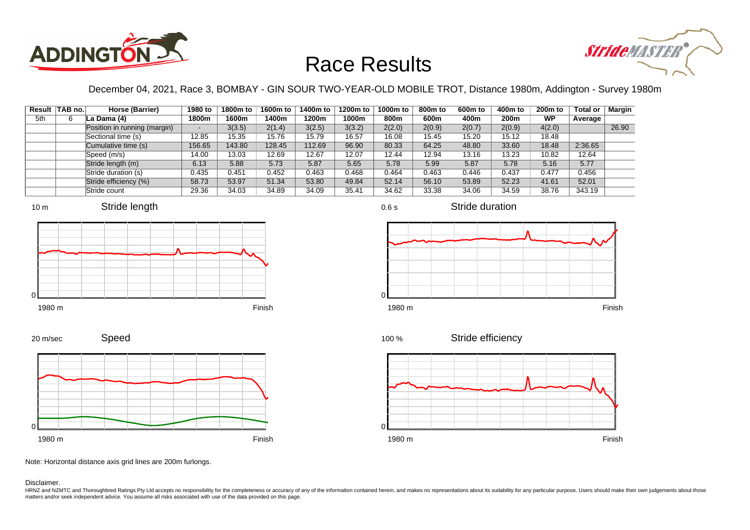



December 04, 2021, Race 3, BOMBAY - GIN SOUR TWO-YEAR-OLD MOBILE TROT, Distance 1980m, Addington - Survey 1980m

0.6 s

|     | Result TAB no. | Horse (Barrier)              | 1980 to | 1800m to | 1600m to | 1400m to | 1200m to | 1000m to | 800m to | 600 <sub>m</sub> to | 400m to | 200 <sub>m</sub> to | <b>Total or</b> | <b>Margin</b> |
|-----|----------------|------------------------------|---------|----------|----------|----------|----------|----------|---------|---------------------|---------|---------------------|-----------------|---------------|
| 5th |                | La Dama (4)                  | 1800m   | 1600m    | 1400m    | 1200m    | 1000m    | 800m     | 600m    | 400m                | 200m    | <b>WP</b>           | Average         |               |
|     |                | Position in running (margin) | -       | 3(3.5)   | 2(1.4)   | 3(2.5)   | 3(3.2)   | 2(2.0)   | 2(0.9)  | 2(0.7)              | 2(0.9)  | 4(2.0)              |                 | 26.90         |
|     |                | Sectional time (s)           | 12.85   | 15.35    | 15.76    | 15.79    | 16.57    | 16.08    | 15.45   | 15.20               | 15.12   | 18.48               |                 |               |
|     |                | Cumulative time (s)          | 156.65  | 143.80   | 128.45   | 112.69   | 96.90    | 80.33    | 64.25   | 48.80               | 33.60   | 18.48               | 2:36.65         |               |
|     |                | Speed (m/s)                  | 14.00   | 13.03    | 12.69    | 12.67    | 12.07    | 12.44    | 12.94   | 13.16               | 13.23   | 10.82               | 12.64           |               |
|     |                | Stride length (m)            | 6.13    | 5.88     | 5.73     | 5.87     | 5.65     | 5.78     | 5.99    | 5.87                | 5.78    | 5.16                | 5.77            |               |
|     |                | Stride duration (s)          | 0.435   | 0.451    | 0.452    | 0.463    | 0.468    | 0.464    | 0.463   | 0.446               | 0.437   | 0.477               | 0.456           |               |
|     |                | Stride efficiency (%)        | 58.73   | 53.97    | 51.34    | 53.80    | 49.84    | 52.14    | 56.10   | 53.89               | 52.23   | 41.61               | 52.01           |               |
|     |                | Stride count                 | 29.36   | 34.03    | 34.89    | 34.09    | 35.41    | 34.62    | 33.38   | 34.06               | 34.59   | 38.76               | 343.19          |               |







Stride duration



20 m/sec





Stride efficiency 100 %



Note: Horizontal distance axis grid lines are 200m furlongs.

Disclaimer.

HRNZ and NZMTC and Thoroughbred Ratings Pty Ltd accepts no responsibility for the completeness or accuracy of any of the information contained herein, and makes no representations about its suitability for any particular p matters and/or seek independent advice. You assume all risks associated with use of the data provided on this page.